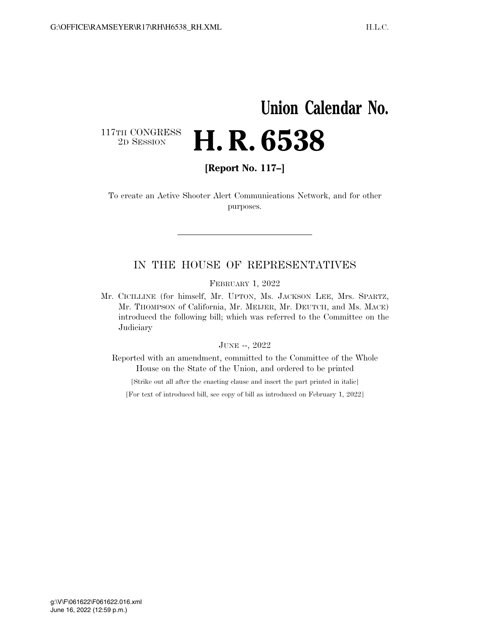### **Union Calendar No.**

117TH CONGRESS<br>2D SESSION

# 2D SESSION **H. R. 6538**

**[Report No. 117–]** 

To create an Active Shooter Alert Communications Network, and for other purposes.

### IN THE HOUSE OF REPRESENTATIVES

FEBRUARY 1, 2022

Mr. CICILLINE (for himself, Mr. UPTON, Ms. JACKSON LEE, Mrs. SPARTZ, Mr. THOMPSON of California, Mr. MEIJER, Mr. DEUTCH, and Ms. MACE) introduced the following bill; which was referred to the Committee on the Judiciary

#### JUNE --, 2022

Reported with an amendment, committed to the Committee of the Whole House on the State of the Union, and ordered to be printed

[Strike out all after the enacting clause and insert the part printed in italic]

[For text of introduced bill, see copy of bill as introduced on February 1, 2022]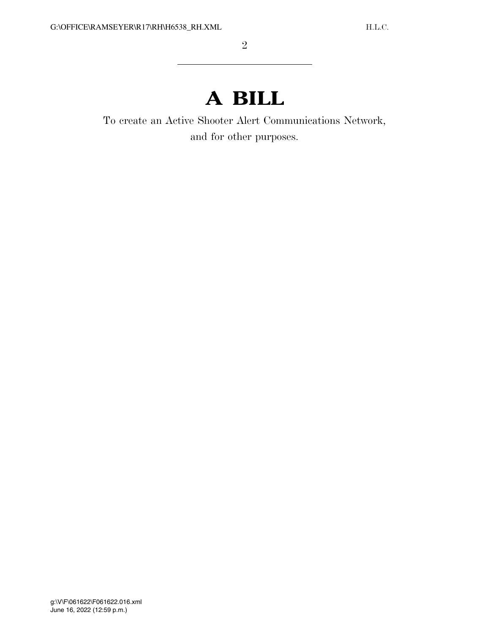## **A BILL**

To create an Active Shooter Alert Communications Network, and for other purposes.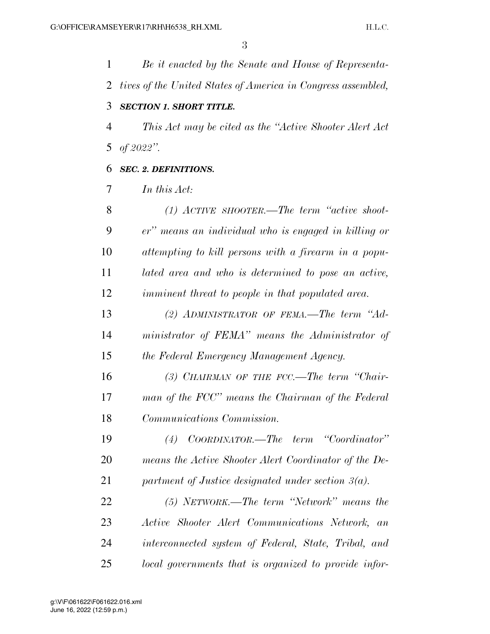*Be it enacted by the Senate and House of Representa- tives of the United States of America in Congress assembled, SECTION 1. SHORT TITLE. This Act may be cited as the ''Active Shooter Alert Act of 2022''. SEC. 2. DEFINITIONS. In this Act: (1) ACTIVE SHOOTER.—The term ''active shoot- er'' means an individual who is engaged in killing or attempting to kill persons with a firearm in a popu- lated area and who is determined to pose an active, imminent threat to people in that populated area. (2) ADMINISTRATOR OF FEMA.—The term ''Ad- ministrator of FEMA'' means the Administrator of the Federal Emergency Management Agency. (3) CHAIRMAN OF THE FCC.—The term ''Chair- man of the FCC'' means the Chairman of the Federal Communications Commission. (4) COORDINATOR.—The term ''Coordinator'' means the Active Shooter Alert Coordinator of the De- partment of Justice designated under section 3(a). (5) NETWORK.—The term ''Network'' means the Active Shooter Alert Communications Network, an interconnected system of Federal, State, Tribal, and* 

*local governments that is organized to provide infor-*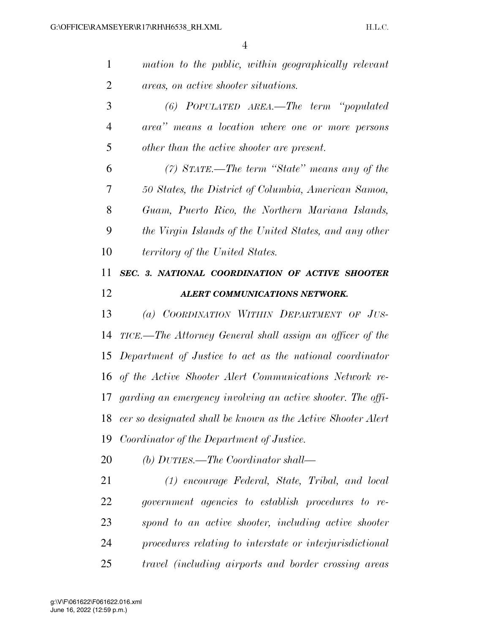| $\mathbf{1}$   | mation to the public, within geographically relevant         |
|----------------|--------------------------------------------------------------|
| $\overline{2}$ | areas, on active shooter situations.                         |
| 3              | (6) POPULATED AREA.—The term "populated                      |
| $\overline{4}$ | area" means a location where one or more persons             |
| 5              | other than the active shooter are present.                   |
| 6              | (7) STATE.—The term "State" means any of the                 |
| 7              | 50 States, the District of Columbia, American Samoa,         |
| 8              | Guam, Puerto Rico, the Northern Mariana Islands,             |
| 9              | the Virgin Islands of the United States, and any other       |
| 10             | territory of the United States.                              |
| 11             | SEC. 3. NATIONAL COORDINATION OF ACTIVE SHOOTER              |
| 12             | ALERT COMMUNICATIONS NETWORK.                                |
| 13             | (a) COORDINATION WITHIN DEPARTMENT OF JUS-                   |
| 14             | TICE.—The Attorney General shall assign an officer of the    |
|                | 15 Department of Justice to act as the national coordinator  |
|                | 16 of the Active Shooter Alert Communications Network re-    |
| 17             |                                                              |
|                | garding an emergency involving an active shooter. The offi-  |
| 18             | cer so designated shall be known as the Active Shooter Alert |
| 19             | Coordinator of the Department of Justice.                    |
| 20             | (b) DUTIES.—The Coordinator shall—                           |
| 21             | (1) encourage Federal, State, Tribal, and local              |
| 22             | government agencies to establish procedures to re-           |
| 23             | spond to an active shooter, including active shooter         |
| 24             | procedures relating to interstate or interjurisdictional     |
| 25             | travel (including airports and border crossing areas         |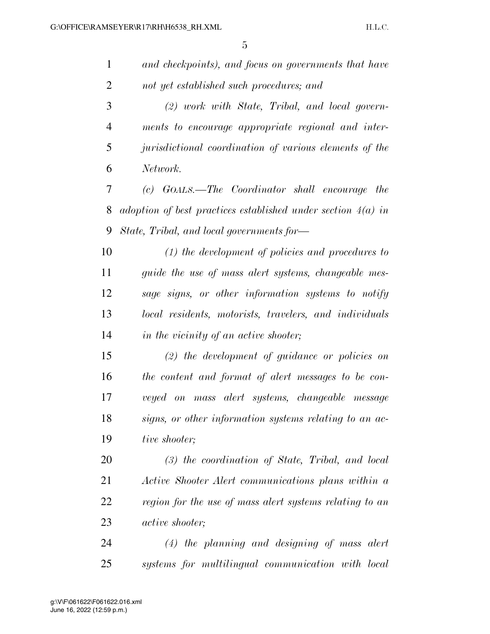| $\mathbf{1}$   | and checkpoints), and focus on governments that have           |
|----------------|----------------------------------------------------------------|
| $\overline{2}$ | not yet established such procedures; and                       |
| 3              | $(2)$ work with State, Tribal, and local govern-               |
| $\overline{4}$ | ments to encourage appropriate regional and inter-             |
| 5              | jurisdictional coordination of various elements of the         |
| 6              | Network.                                                       |
| 7              | (c) GOALS.—The Coordinator shall encourage<br><i>the</i>       |
| 8              | adoption of best practices established under section $4(a)$ in |
| 9              | State, Tribal, and local governments for-                      |
| 10             | $(1)$ the development of policies and procedures to            |
| 11             | guide the use of mass alert systems, changeable mes-           |
| 12             | sage signs, or other information systems to notify             |
| 13             | local residents, motorists, travelers, and individuals         |
| 14             | in the vicinity of an active shooter;                          |
| 15             | $(2)$ the development of guidance or policies on               |
| 16             | the content and format of alert messages to be con-            |
| 17             | veyed on mass alert systems, changeable message                |
| 18             | signs, or other information systems relating to an ac-         |
| 19             | tive shooter;                                                  |
| 20             | $(3)$ the coordination of State, Tribal, and local             |
| 21             | Active Shooter Alert communications plans within a             |
| 22             | region for the use of mass alert systems relating to an        |
| 23             | <i>active shooter</i> ;                                        |
| 24             | $(4)$ the planning and designing of mass alert                 |
| 25             | systems for multilingual communication with local              |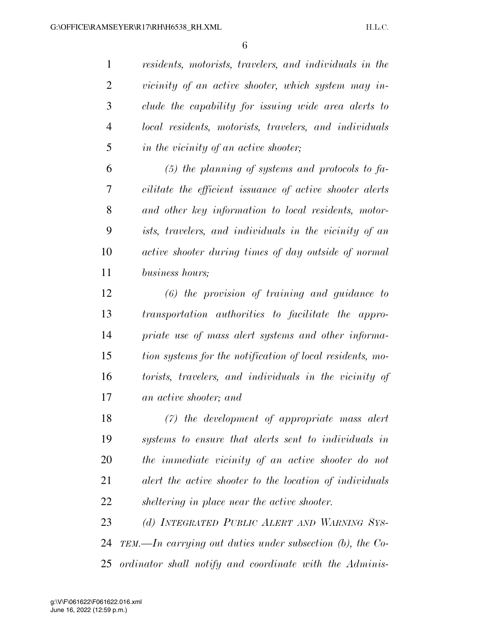*residents, motorists, travelers, and individuals in the vicinity of an active shooter, which system may in- clude the capability for issuing wide area alerts to local residents, motorists, travelers, and individuals in the vicinity of an active shooter;* 

 *(5) the planning of systems and protocols to fa- cilitate the efficient issuance of active shooter alerts and other key information to local residents, motor- ists, travelers, and individuals in the vicinity of an active shooter during times of day outside of normal business hours;* 

 *(6) the provision of training and guidance to transportation authorities to facilitate the appro- priate use of mass alert systems and other informa- tion systems for the notification of local residents, mo- torists, travelers, and individuals in the vicinity of an active shooter; and* 

 *(7) the development of appropriate mass alert systems to ensure that alerts sent to individuals in the immediate vicinity of an active shooter do not alert the active shooter to the location of individuals sheltering in place near the active shooter.* 

 *(d) INTEGRATED PUBLIC ALERT AND WARNING SYS- TEM.—In carrying out duties under subsection (b), the Co-ordinator shall notify and coordinate with the Adminis-*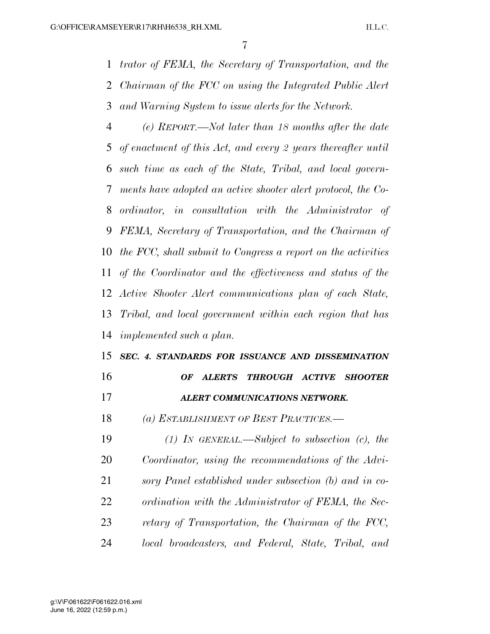*trator of FEMA, the Secretary of Transportation, and the Chairman of the FCC on using the Integrated Public Alert and Warning System to issue alerts for the Network.* 

 *(e) REPORT.—Not later than 18 months after the date of enactment of this Act, and every 2 years thereafter until such time as each of the State, Tribal, and local govern- ments have adopted an active shooter alert protocol, the Co- ordinator, in consultation with the Administrator of FEMA, Secretary of Transportation, and the Chairman of the FCC, shall submit to Congress a report on the activities of the Coordinator and the effectiveness and status of the Active Shooter Alert communications plan of each State, Tribal, and local government within each region that has implemented such a plan.* 

### *SEC. 4. STANDARDS FOR ISSUANCE AND DISSEMINATION OF ALERTS THROUGH ACTIVE SHOOTER*

- *ALERT COMMUNICATIONS NETWORK.*
- *(a) ESTABLISHMENT OF BEST PRACTICES.—*

 *(1) IN GENERAL.—Subject to subsection (c), the Coordinator, using the recommendations of the Advi- sory Panel established under subsection (b) and in co- ordination with the Administrator of FEMA, the Sec- retary of Transportation, the Chairman of the FCC, local broadcasters, and Federal, State, Tribal, and*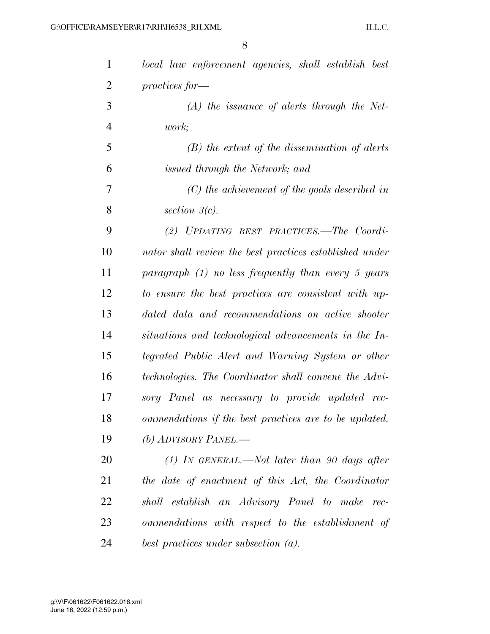| $\mathbf{1}$   | local law enforcement agencies, shall establish best    |
|----------------|---------------------------------------------------------|
| $\overline{2}$ | $practices for-$                                        |
| 3              | $(A)$ the issuance of alerts through the Net-           |
| $\overline{4}$ | work;                                                   |
| 5              | $(B)$ the extent of the dissemination of alerts         |
| 6              | issued through the Network; and                         |
| 7              | $(C)$ the achievement of the goals described in         |
| 8              | section $3(c)$ .                                        |
| 9              | (2) UPDATING BEST PRACTICES.—The Coordi-                |
| 10             | nator shall review the best practices established under |
| 11             | paragraph $(1)$ no less frequently than every 5 years   |
| 12             | to ensure the best practices are consistent with up-    |
| 13             | dated data and recommendations on active shooter        |
| 14             | situations and technological advancements in the In-    |
| 15             | tegrated Public Alert and Warning System or other       |
| 16             | technologies. The Coordinator shall convene the Advi-   |
| 17             | sory Panel as necessary to provide updated rec-         |
| 18             | ommendations if the best practices are to be updated.   |
| 19             | (b) ADVISORY PANEL.—                                    |
| 20             | $(1)$ IN GENERAL.—Not later than 90 days after          |
| 21             | the date of enactment of this Act, the Coordinator      |
| 22             | shall establish an Advisory Panel to make rec-          |
| 23             | ommendations with respect to the establishment of       |
| 24             | best practices under subsection (a).                    |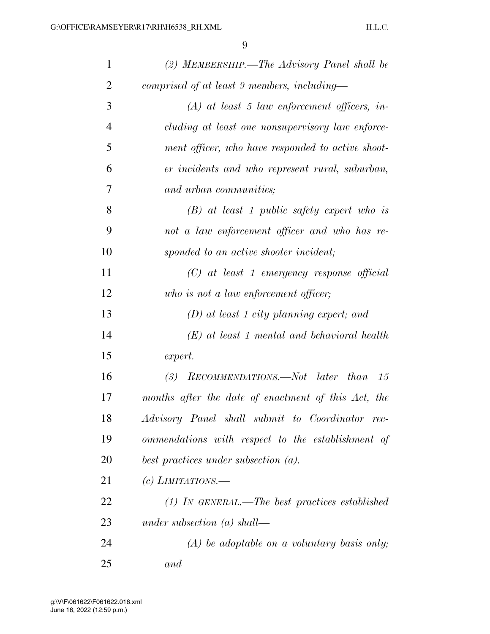| $\mathbf{1}$   | (2) MEMBERSHIP.—The Advisory Panel shall be         |
|----------------|-----------------------------------------------------|
| $\overline{2}$ | comprised of at least 9 members, including-         |
| 3              | $(A)$ at least 5 law enforcement officers, in-      |
| 4              | cluding at least one nonsupervisory law enforce-    |
| 5              | ment officer, who have responded to active shoot-   |
| 6              | er incidents and who represent rural, suburban,     |
| 7              | and urban communities;                              |
| 8              | $(B)$ at least 1 public safety expert who is        |
| 9              | not a law enforcement officer and who has re-       |
| 10             | sponded to an active shooter incident;              |
| 11             | $(C)$ at least 1 emergency response official        |
| 12             | who is not a law enforcement officer;               |
| 13             | $(D)$ at least 1 city planning expert; and          |
| 14             | $(E)$ at least 1 mental and behavioral health       |
| 15             | expert.                                             |
| 16             | RECOMMENDATIONS.—Not later than 15<br>(3)           |
| 17             | months after the date of enactment of this Act, the |
| 18             | Advisory Panel shall submit to Coordinator rec-     |
| 19             | ommendations with respect to the establishment of   |
| 20             | best practices under subsection $(a)$ .             |
| 21             | $(c)$ LIMITATIONS.—                                 |
| 22             | $(1)$ IN GENERAL.—The best practices established    |
| 23             | under subsection $(a)$ shall—                       |
| 24             | $(A)$ be adoptable on a voluntary basis only;       |
| 25             | and                                                 |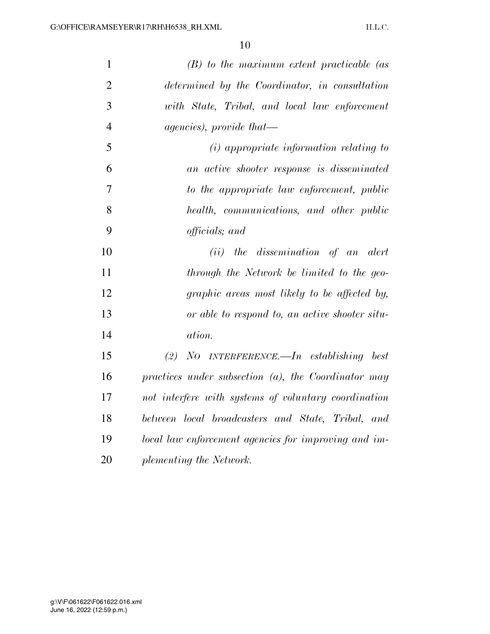| $\mathbf{1}$   | $(B)$ to the maximum extent practicable (as            |
|----------------|--------------------------------------------------------|
| $\overline{2}$ | determined by the Coordinator, in consultation         |
| 3              | with State, Tribal, and local law enforcement          |
| $\overline{4}$ | $a \text{gencies}$ , provide that—                     |
| 5              | $(i)$ appropriate information relating to              |
| 6              | an active shooter response is disseminated             |
| $\overline{7}$ | to the appropriate law enforcement, public             |
| 8              | health, communications, and other public               |
| 9              | officials; and                                         |
| 10             | (ii) the dissemination of an alert                     |
| 11             | through the Network be limited to the geo-             |
| 12             | graphic areas most likely to be affected by,           |
| 13             | or able to respond to, an active shooter situ-         |
| 14             | ation.                                                 |
| 15             | $No$ INTERFERENCE.—In establishing best<br>(2)         |
| 16             | practices under subsection $(a)$ , the Coordinator may |
| 17             | not interfere with systems of voluntary coordination   |
| 18             | between local broadcasters and State, Tribal, and      |
| 19             | local law enforcement agencies for improving and im-   |
| 20             | plementing the Network.                                |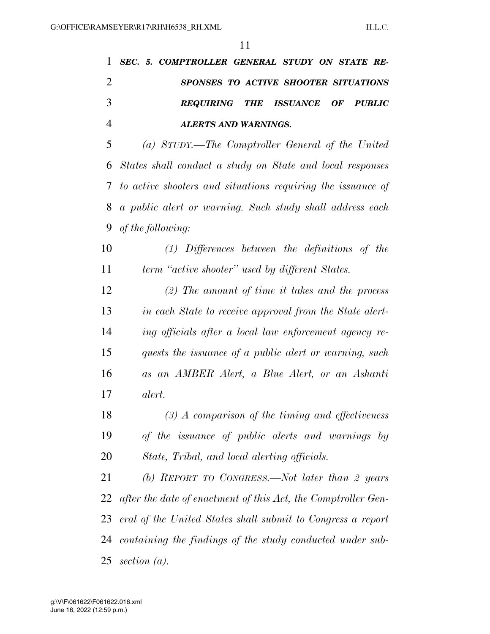*SEC. 5. COMPTROLLER GENERAL STUDY ON STATE RE- SPONSES TO ACTIVE SHOOTER SITUATIONS REQUIRING THE ISSUANCE OF PUBLIC ALERTS AND WARNINGS.* 

 *(a) STUDY.—The Comptroller General of the United States shall conduct a study on State and local responses to active shooters and situations requiring the issuance of a public alert or warning. Such study shall address each of the following:* 

 *(1) Differences between the definitions of the term ''active shooter'' used by different States.* 

 *(2) The amount of time it takes and the process in each State to receive approval from the State alert- ing officials after a local law enforcement agency re- quests the issuance of a public alert or warning, such as an AMBER Alert, a Blue Alert, or an Ashanti alert.* 

 *(3) A comparison of the timing and effectiveness of the issuance of public alerts and warnings by State, Tribal, and local alerting officials.* 

 *(b) REPORT TO CONGRESS.—Not later than 2 years after the date of enactment of this Act, the Comptroller Gen- eral of the United States shall submit to Congress a report containing the findings of the study conducted under sub-section (a).*